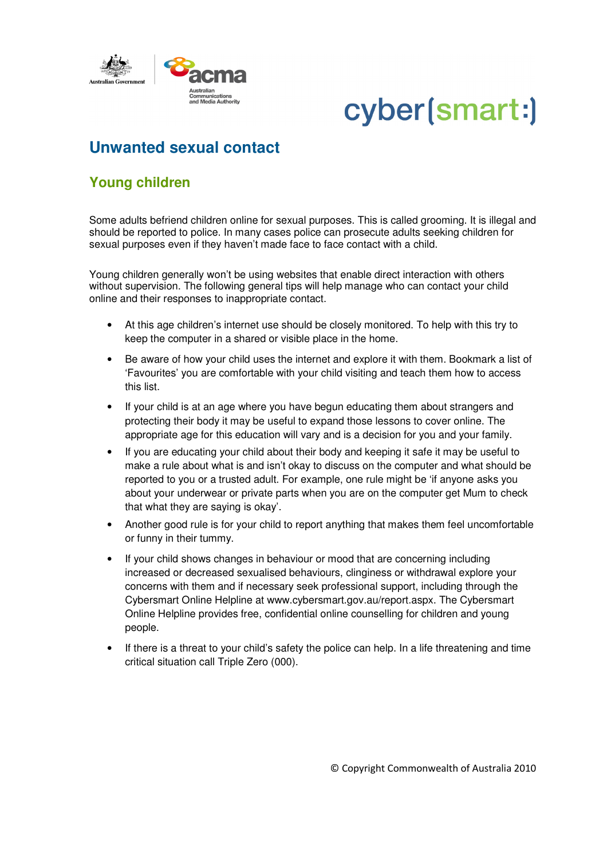

## cyber(smart:)

## **Unwanted sexual contact**

## **Young children**

Some adults befriend children online for sexual purposes. This is called grooming. It is illegal and should be reported to police. In many cases police can prosecute adults seeking children for sexual purposes even if they haven't made face to face contact with a child.

Young children generally won't be using websites that enable direct interaction with others without supervision. The following general tips will help manage who can contact your child online and their responses to inappropriate contact.

- At this age children's internet use should be closely monitored. To help with this try to keep the computer in a shared or visible place in the home.
- Be aware of how your child uses the internet and explore it with them. Bookmark a list of 'Favourites' you are comfortable with your child visiting and teach them how to access this list.
- If your child is at an age where you have begun educating them about strangers and protecting their body it may be useful to expand those lessons to cover online. The appropriate age for this education will vary and is a decision for you and your family.
- If you are educating your child about their body and keeping it safe it may be useful to make a rule about what is and isn't okay to discuss on the computer and what should be reported to you or a trusted adult. For example, one rule might be 'if anyone asks you about your underwear or private parts when you are on the computer get Mum to check that what they are saying is okay'.
- Another good rule is for your child to report anything that makes them feel uncomfortable or funny in their tummy.
- If your child shows changes in behaviour or mood that are concerning including increased or decreased sexualised behaviours, clinginess or withdrawal explore your concerns with them and if necessary seek professional support, including through the Cybersmart Online Helpline at www.cybersmart.gov.au/report.aspx. The Cybersmart Online Helpline provides free, confidential online counselling for children and young people.
- If there is a threat to your child's safety the police can help. In a life threatening and time critical situation call Triple Zero (000).